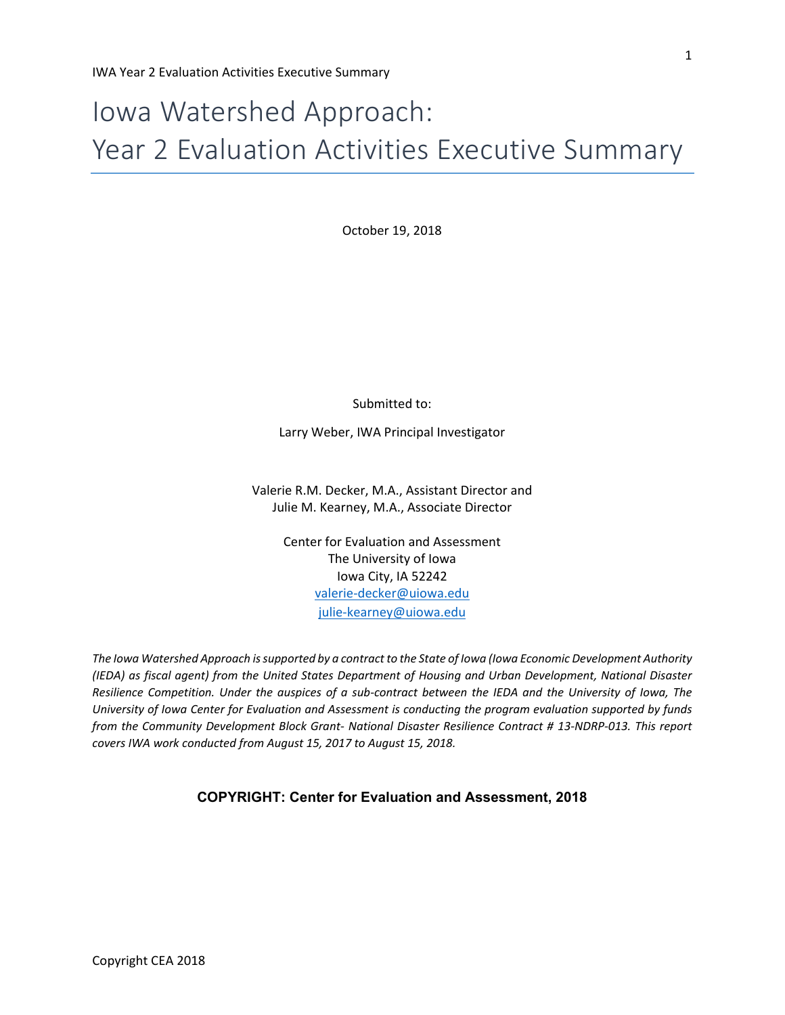# Iowa Watershed Approach: Year 2 Evaluation Activities Executive Summary

October 19, 2018

Submitted to:

Larry Weber, IWA Principal Investigator

Valerie R.M. Decker, M.A., Assistant Director and Julie M. Kearney, M.A., Associate Director

> Center for Evaluation and Assessment The University of Iowa Iowa City, IA 52242 [valerie-decker@uiowa.edu](mailto:valerie-decker@uiowa.edu) [julie-kearney@uiowa.edu](mailto:d-yarbrough@uiowa.edu)

*The Iowa Watershed Approach is supported by a contract to the State of Iowa (Iowa Economic Development Authority (IEDA) as fiscal agent) from the United States Department of Housing and Urban Development, National Disaster Resilience Competition. Under the auspices of a sub-contract between the IEDA and the University of Iowa, The University of Iowa Center for Evaluation and Assessment is conducting the program evaluation supported by funds from the Community Development Block Grant- National Disaster Resilience Contract # 13-NDRP-013. This report covers IWA work conducted from August 15, 2017 to August 15, 2018.*

**COPYRIGHT: Center for Evaluation and Assessment, 2018**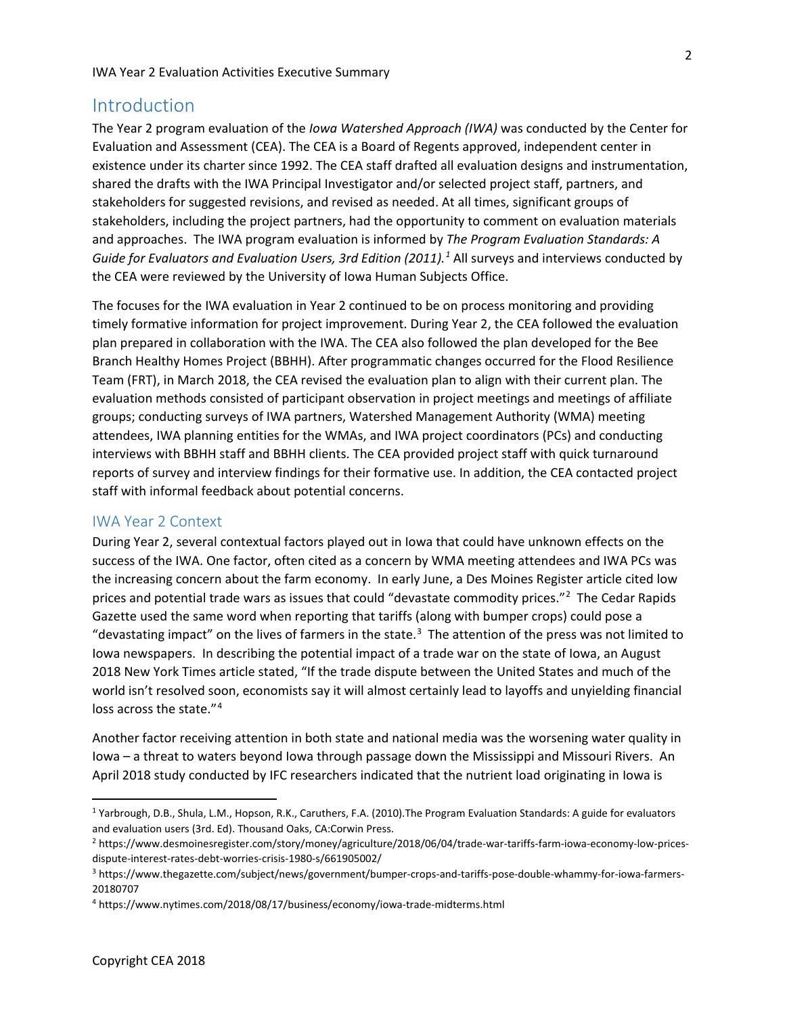## Introduction

The Year 2 program evaluation of the *Iowa Watershed Approach (IWA)* was conducted by the Center for Evaluation and Assessment (CEA). The CEA is a Board of Regents approved, independent center in existence under its charter since 1992. The CEA staff drafted all evaluation designs and instrumentation, shared the drafts with the IWA Principal Investigator and/or selected project staff, partners, and stakeholders for suggested revisions, and revised as needed. At all times, significant groups of stakeholders, including the project partners, had the opportunity to comment on evaluation materials and approaches. The IWA program evaluation is informed by *The Program Evaluation Standards: A Guide for Evaluators and Evaluation Users, 3rd Edition (2011).[1](#page-1-0)* All surveys and interviews conducted by the CEA were reviewed by the University of Iowa Human Subjects Office.

The focuses for the IWA evaluation in Year 2 continued to be on process monitoring and providing timely formative information for project improvement. During Year 2, the CEA followed the evaluation plan prepared in collaboration with the IWA. The CEA also followed the plan developed for the Bee Branch Healthy Homes Project (BBHH). After programmatic changes occurred for the Flood Resilience Team (FRT), in March 2018, the CEA revised the evaluation plan to align with their current plan. The evaluation methods consisted of participant observation in project meetings and meetings of affiliate groups; conducting surveys of IWA partners, Watershed Management Authority (WMA) meeting attendees, IWA planning entities for the WMAs, and IWA project coordinators (PCs) and conducting interviews with BBHH staff and BBHH clients. The CEA provided project staff with quick turnaround reports of survey and interview findings for their formative use. In addition, the CEA contacted project staff with informal feedback about potential concerns.

#### IWA Year 2 Context

During Year 2, several contextual factors played out in Iowa that could have unknown effects on the success of the IWA. One factor, often cited as a concern by WMA meeting attendees and IWA PCs was the increasing concern about the farm economy. In early June, a Des Moines Register article cited low prices and potential trade wars as issues that could "devastate commodity prices."<sup>[2](#page-1-1)</sup> The Cedar Rapids Gazette used the same word when reporting that tariffs (along with bumper crops) could pose a "devastating impact" on the lives of farmers in the state. $3$  The attention of the press was not limited to Iowa newspapers. In describing the potential impact of a trade war on the state of Iowa, an August 2018 New York Times article stated, "If the trade dispute between the United States and much of the world isn't resolved soon, economists say it will almost certainly lead to layoffs and unyielding financial loss across the state."<sup>[4](#page-1-3)</sup>

Another factor receiving attention in both state and national media was the worsening water quality in Iowa – a threat to waters beyond Iowa through passage down the Mississippi and Missouri Rivers. An April 2018 study conducted by IFC researchers indicated that the nutrient load originating in Iowa is

<span id="page-1-0"></span><sup>1</sup> Yarbrough, D.B., Shula, L.M., Hopson, R.K., Caruthers, F.A. (2010).The Program Evaluation Standards: A guide for evaluators and evaluation users (3rd. Ed). Thousand Oaks, CA:Corwin Press.

<span id="page-1-1"></span><sup>2</sup> https://www.desmoinesregister.com/story/money/agriculture/2018/06/04/trade-war-tariffs-farm-iowa-economy-low-pricesdispute-interest-rates-debt-worries-crisis-1980-s/661905002/

<span id="page-1-2"></span><sup>3</sup> https://www.thegazette.com/subject/news/government/bumper-crops-and-tariffs-pose-double-whammy-for-iowa-farmers-20180707

<span id="page-1-3"></span><sup>4</sup> https://www.nytimes.com/2018/08/17/business/economy/iowa-trade-midterms.html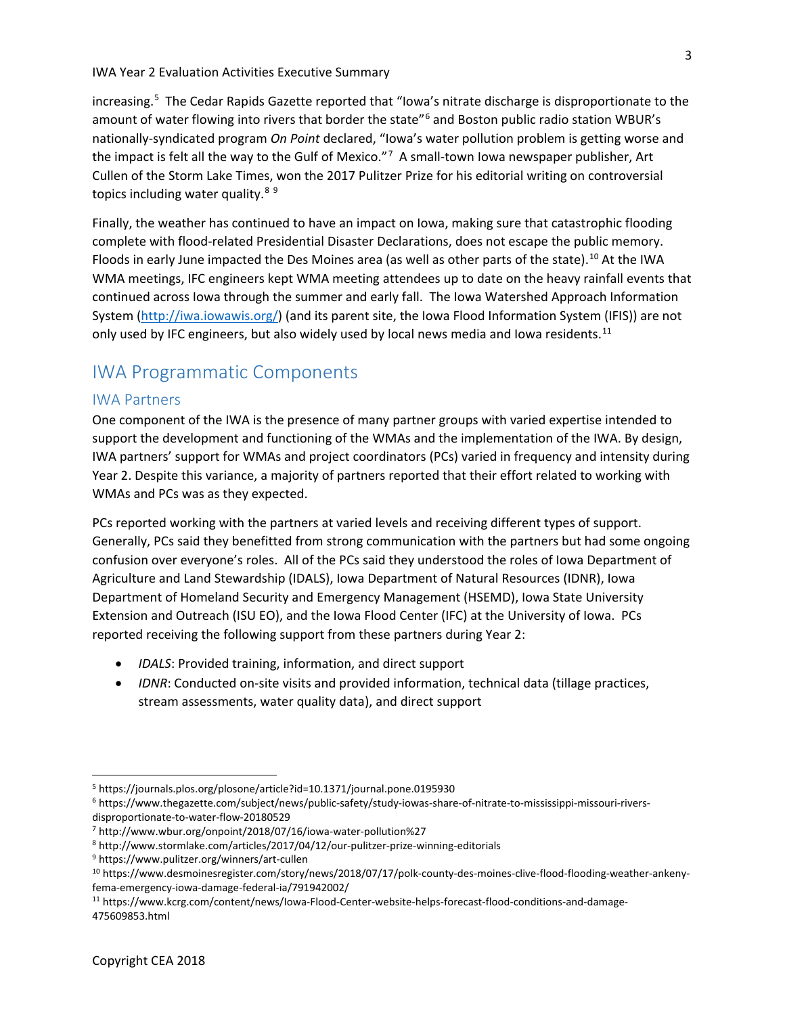increasing.[5](#page-2-0) The Cedar Rapids Gazette reported that "Iowa's nitrate discharge is disproportionate to the amount of water flowing into rivers that border the state"<sup>[6](#page-2-1)</sup> and Boston public radio station WBUR's nationally-syndicated program *On Point* declared, "Iowa's water pollution problem is getting worse and the impact is felt all the way to the Gulf of Mexico."<sup>[7](#page-2-2)</sup> A small-town lowa newspaper publisher, Art Cullen of the Storm Lake Times, won the 2017 Pulitzer Prize for his editorial writing on controversial topics including water quality.<sup>[8](#page-2-3)[9](#page-2-4)</sup>

Finally, the weather has continued to have an impact on Iowa, making sure that catastrophic flooding complete with flood-related Presidential Disaster Declarations, does not escape the public memory. Floods in early June impacted the Des Moines area (as well as other parts of the state).<sup>[10](#page-2-5)</sup> At the IWA WMA meetings, IFC engineers kept WMA meeting attendees up to date on the heavy rainfall events that continued across Iowa through the summer and early fall. The Iowa Watershed Approach Information System [\(http://iwa.iowawis.org/\)](http://iwa.iowawis.org/) (and its parent site, the Iowa Flood Information System (IFIS)) are not only used by IFC engineers, but also widely used by local news media and Iowa residents.<sup>[11](#page-2-6)</sup>

## IWA Programmatic Components

#### IWA Partners

One component of the IWA is the presence of many partner groups with varied expertise intended to support the development and functioning of the WMAs and the implementation of the IWA. By design, IWA partners' support for WMAs and project coordinators (PCs) varied in frequency and intensity during Year 2. Despite this variance, a majority of partners reported that their effort related to working with WMAs and PCs was as they expected.

PCs reported working with the partners at varied levels and receiving different types of support. Generally, PCs said they benefitted from strong communication with the partners but had some ongoing confusion over everyone's roles. All of the PCs said they understood the roles of Iowa Department of Agriculture and Land Stewardship (IDALS), Iowa Department of Natural Resources (IDNR), Iowa Department of Homeland Security and Emergency Management (HSEMD), Iowa State University Extension and Outreach (ISU EO), and the Iowa Flood Center (IFC) at the University of Iowa. PCs reported receiving the following support from these partners during Year 2:

- *IDALS*: Provided training, information, and direct support
- *IDNR*: Conducted on-site visits and provided information, technical data (tillage practices, stream assessments, water quality data), and direct support

<span id="page-2-0"></span><sup>5</sup> https://journals.plos.org/plosone/article?id=10.1371/journal.pone.0195930

<span id="page-2-1"></span><sup>6</sup> https://www.thegazette.com/subject/news/public-safety/study-iowas-share-of-nitrate-to-mississippi-missouri-riversdisproportionate-to-water-flow-20180529

<span id="page-2-2"></span><sup>7</sup> http://www.wbur.org/onpoint/2018/07/16/iowa-water-pollution%27

<span id="page-2-3"></span><sup>8</sup> http://www.stormlake.com/articles/2017/04/12/our-pulitzer-prize-winning-editorials

<span id="page-2-4"></span><sup>9</sup> https://www.pulitzer.org/winners/art-cullen

<span id="page-2-5"></span><sup>10</sup> https://www.desmoinesregister.com/story/news/2018/07/17/polk-county-des-moines-clive-flood-flooding-weather-ankenyfema-emergency-iowa-damage-federal-ia/791942002/

<span id="page-2-6"></span><sup>11</sup> https://www.kcrg.com/content/news/Iowa-Flood-Center-website-helps-forecast-flood-conditions-and-damage-475609853.html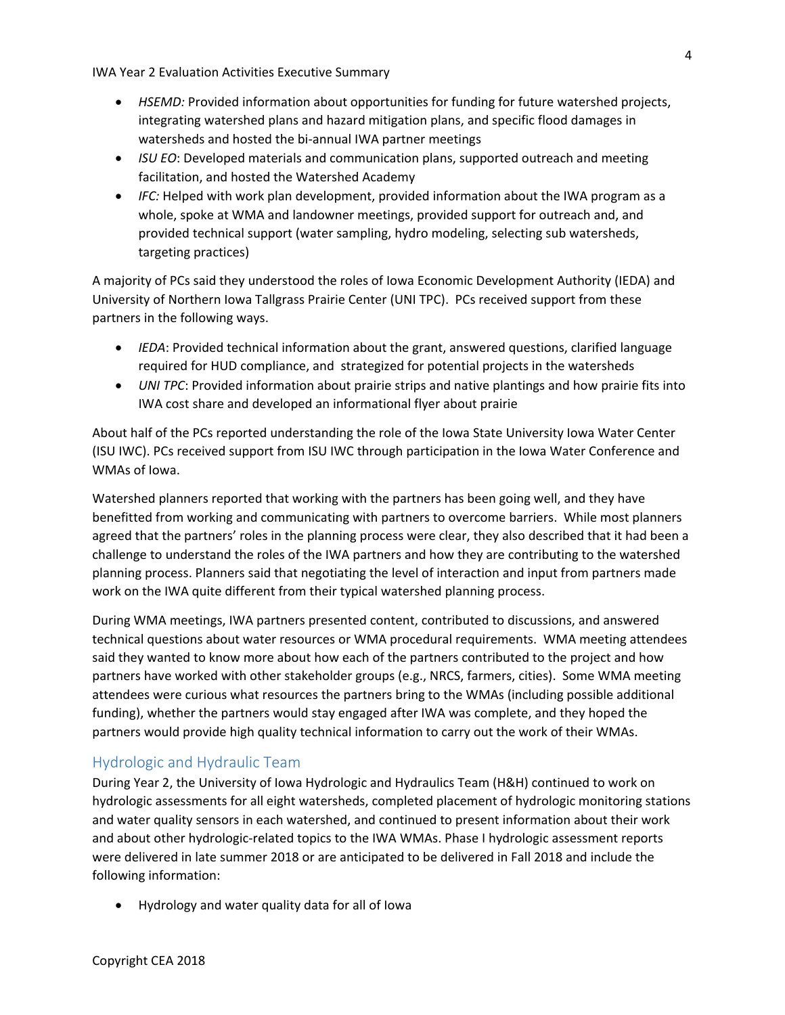- *HSEMD:* Provided information about opportunities for funding for future watershed projects, integrating watershed plans and hazard mitigation plans, and specific flood damages in watersheds and hosted the bi-annual IWA partner meetings
- *ISU EO*: Developed materials and communication plans, supported outreach and meeting facilitation, and hosted the Watershed Academy
- *IFC:* Helped with work plan development, provided information about the IWA program as a whole, spoke at WMA and landowner meetings, provided support for outreach and, and provided technical support (water sampling, hydro modeling, selecting sub watersheds, targeting practices)

A majority of PCs said they understood the roles of Iowa Economic Development Authority (IEDA) and University of Northern Iowa Tallgrass Prairie Center (UNI TPC). PCs received support from these partners in the following ways.

- *IEDA*: Provided technical information about the grant, answered questions, clarified language required for HUD compliance, and strategized for potential projects in the watersheds
- *UNI TPC*: Provided information about prairie strips and native plantings and how prairie fits into IWA cost share and developed an informational flyer about prairie

About half of the PCs reported understanding the role of the Iowa State University Iowa Water Center (ISU IWC). PCs received support from ISU IWC through participation in the Iowa Water Conference and WMAs of Iowa.

Watershed planners reported that working with the partners has been going well, and they have benefitted from working and communicating with partners to overcome barriers. While most planners agreed that the partners' roles in the planning process were clear, they also described that it had been a challenge to understand the roles of the IWA partners and how they are contributing to the watershed planning process. Planners said that negotiating the level of interaction and input from partners made work on the IWA quite different from their typical watershed planning process.

During WMA meetings, IWA partners presented content, contributed to discussions, and answered technical questions about water resources or WMA procedural requirements. WMA meeting attendees said they wanted to know more about how each of the partners contributed to the project and how partners have worked with other stakeholder groups (e.g., NRCS, farmers, cities). Some WMA meeting attendees were curious what resources the partners bring to the WMAs (including possible additional funding), whether the partners would stay engaged after IWA was complete, and they hoped the partners would provide high quality technical information to carry out the work of their WMAs.

## Hydrologic and Hydraulic Team

During Year 2, the University of Iowa Hydrologic and Hydraulics Team (H&H) continued to work on hydrologic assessments for all eight watersheds, completed placement of hydrologic monitoring stations and water quality sensors in each watershed, and continued to present information about their work and about other hydrologic-related topics to the IWA WMAs. Phase I hydrologic assessment reports were delivered in late summer 2018 or are anticipated to be delivered in Fall 2018 and include the following information:

• Hydrology and water quality data for all of Iowa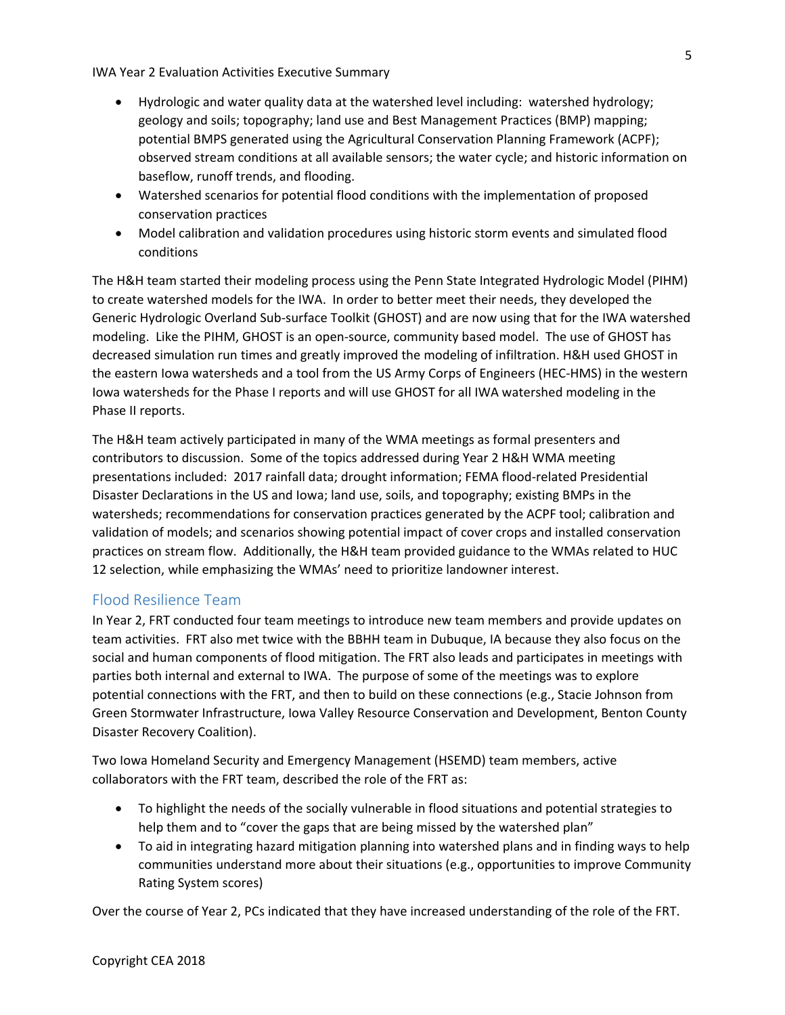- Hydrologic and water quality data at the watershed level including: watershed hydrology; geology and soils; topography; land use and Best Management Practices (BMP) mapping; potential BMPS generated using the Agricultural Conservation Planning Framework (ACPF); observed stream conditions at all available sensors; the water cycle; and historic information on baseflow, runoff trends, and flooding.
- Watershed scenarios for potential flood conditions with the implementation of proposed conservation practices
- Model calibration and validation procedures using historic storm events and simulated flood conditions

The H&H team started their modeling process using the Penn State Integrated Hydrologic Model (PIHM) to create watershed models for the IWA. In order to better meet their needs, they developed the Generic Hydrologic Overland Sub-surface Toolkit (GHOST) and are now using that for the IWA watershed modeling. Like the PIHM, GHOST is an open-source, community based model. The use of GHOST has decreased simulation run times and greatly improved the modeling of infiltration. H&H used GHOST in the eastern Iowa watersheds and a tool from the US Army Corps of Engineers (HEC-HMS) in the western Iowa watersheds for the Phase I reports and will use GHOST for all IWA watershed modeling in the Phase II reports.

The H&H team actively participated in many of the WMA meetings as formal presenters and contributors to discussion. Some of the topics addressed during Year 2 H&H WMA meeting presentations included: 2017 rainfall data; drought information; FEMA flood-related Presidential Disaster Declarations in the US and Iowa; land use, soils, and topography; existing BMPs in the watersheds; recommendations for conservation practices generated by the ACPF tool; calibration and validation of models; and scenarios showing potential impact of cover crops and installed conservation practices on stream flow. Additionally, the H&H team provided guidance to the WMAs related to HUC 12 selection, while emphasizing the WMAs' need to prioritize landowner interest.

#### Flood Resilience Team

In Year 2, FRT conducted four team meetings to introduce new team members and provide updates on team activities. FRT also met twice with the BBHH team in Dubuque, IA because they also focus on the social and human components of flood mitigation. The FRT also leads and participates in meetings with parties both internal and external to IWA. The purpose of some of the meetings was to explore potential connections with the FRT, and then to build on these connections (e.g., Stacie Johnson from Green Stormwater Infrastructure, Iowa Valley Resource Conservation and Development, Benton County Disaster Recovery Coalition).

Two Iowa Homeland Security and Emergency Management (HSEMD) team members, active collaborators with the FRT team, described the role of the FRT as:

- To highlight the needs of the socially vulnerable in flood situations and potential strategies to help them and to "cover the gaps that are being missed by the watershed plan"
- To aid in integrating hazard mitigation planning into watershed plans and in finding ways to help communities understand more about their situations (e.g., opportunities to improve Community Rating System scores)

Over the course of Year 2, PCs indicated that they have increased understanding of the role of the FRT.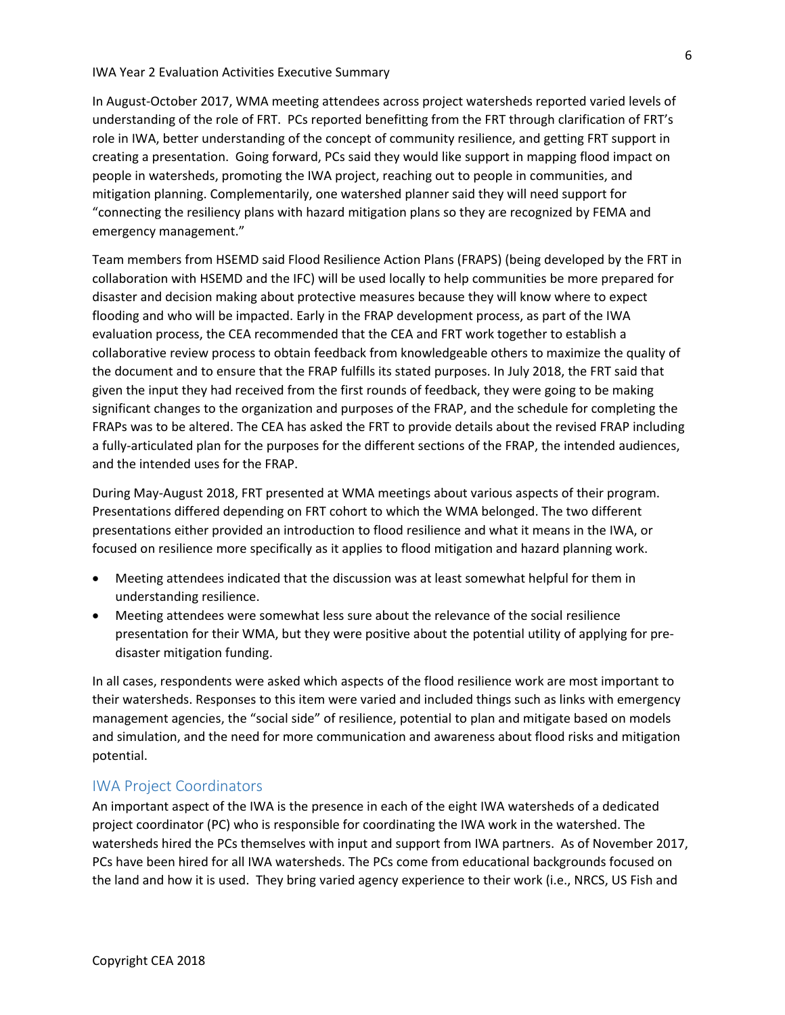In August-October 2017, WMA meeting attendees across project watersheds reported varied levels of understanding of the role of FRT. PCs reported benefitting from the FRT through clarification of FRT's role in IWA, better understanding of the concept of community resilience, and getting FRT support in creating a presentation. Going forward, PCs said they would like support in mapping flood impact on people in watersheds, promoting the IWA project, reaching out to people in communities, and mitigation planning. Complementarily, one watershed planner said they will need support for "connecting the resiliency plans with hazard mitigation plans so they are recognized by FEMA and emergency management."

Team members from HSEMD said Flood Resilience Action Plans (FRAPS) (being developed by the FRT in collaboration with HSEMD and the IFC) will be used locally to help communities be more prepared for disaster and decision making about protective measures because they will know where to expect flooding and who will be impacted. Early in the FRAP development process, as part of the IWA evaluation process, the CEA recommended that the CEA and FRT work together to establish a collaborative review process to obtain feedback from knowledgeable others to maximize the quality of the document and to ensure that the FRAP fulfills its stated purposes. In July 2018, the FRT said that given the input they had received from the first rounds of feedback, they were going to be making significant changes to the organization and purposes of the FRAP, and the schedule for completing the FRAPs was to be altered. The CEA has asked the FRT to provide details about the revised FRAP including a fully-articulated plan for the purposes for the different sections of the FRAP, the intended audiences, and the intended uses for the FRAP.

During May-August 2018, FRT presented at WMA meetings about various aspects of their program. Presentations differed depending on FRT cohort to which the WMA belonged. The two different presentations either provided an introduction to flood resilience and what it means in the IWA, or focused on resilience more specifically as it applies to flood mitigation and hazard planning work.

- Meeting attendees indicated that the discussion was at least somewhat helpful for them in understanding resilience.
- Meeting attendees were somewhat less sure about the relevance of the social resilience presentation for their WMA, but they were positive about the potential utility of applying for predisaster mitigation funding.

In all cases, respondents were asked which aspects of the flood resilience work are most important to their watersheds. Responses to this item were varied and included things such as links with emergency management agencies, the "social side" of resilience, potential to plan and mitigate based on models and simulation, and the need for more communication and awareness about flood risks and mitigation potential.

#### IWA Project Coordinators

An important aspect of the IWA is the presence in each of the eight IWA watersheds of a dedicated project coordinator (PC) who is responsible for coordinating the IWA work in the watershed. The watersheds hired the PCs themselves with input and support from IWA partners. As of November 2017, PCs have been hired for all IWA watersheds. The PCs come from educational backgrounds focused on the land and how it is used. They bring varied agency experience to their work (i.e., NRCS, US Fish and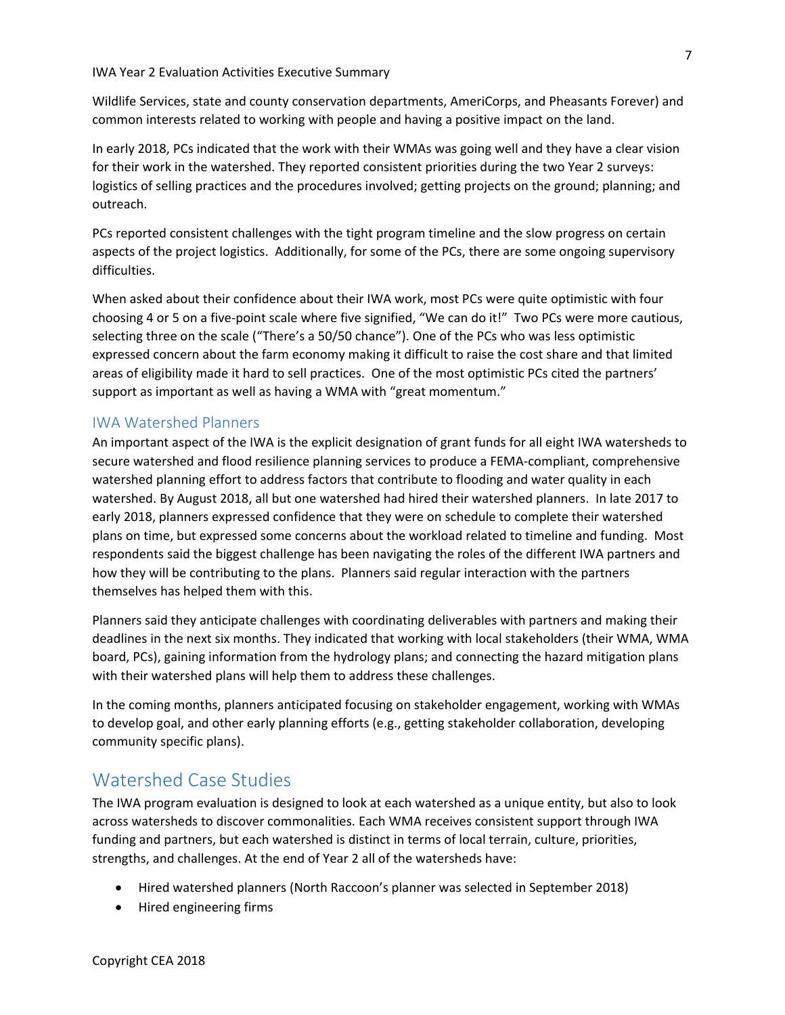Wildlife Services, state and county conservation departments, AmeriCorps, and Pheasants Forever) and common interests related to working with people and having a positive impact on the land.

In early 2018, PCs indicated that the work with their WMAs was going well and they have a clear vision for their work in the watershed. They reported consistent priorities during the two Year 2 surveys: logistics of selling practices and the procedures involved; getting projects on the ground; planning; and outreach.

PCs reported consistent challenges with the tight program timeline and the slow progress on certain aspects of the project logistics. Additionally, for some of the PCs, there are some ongoing supervisory difficulties.

When asked about their confidence about their IWA work, most PCs were quite optimistic with four choosing 4 or 5 on a five-point scale where five signified, "We can do it!" Two PCs were more cautious, selecting three on the scale ("There's a 50/50 chance"). One of the PCs who was less optimistic expressed concern about the farm economy making it difficult to raise the cost share and that limited areas of eligibility made it hard to sell practices. One of the most optimistic PCs cited the partners' support as important as well as having a WMA with "great momentum."

#### IWA Watershed Planners

An important aspect of the IWA is the explicit designation of grant funds for all eight IWA watersheds to secure watershed and flood resilience planning services to produce a FEMA-compliant, comprehensive watershed planning effort to address factors that contribute to flooding and water quality in each watershed. By August 2018, all but one watershed had hired their watershed planners. In late 2017 to early 2018, planners expressed confidence that they were on schedule to complete their watershed plans on time, but expressed some concerns about the workload related to timeline and funding. Most respondents said the biggest challenge has been navigating the roles of the different IWA partners and how they will be contributing to the plans. Planners said regular interaction with the partners themselves has helped them with this.

Planners said they anticipate challenges with coordinating deliverables with partners and making their deadlines in the next six months. They indicated that working with local stakeholders (their WMA, WMA board, PCs), gaining information from the hydrology plans; and connecting the hazard mitigation plans with their watershed plans will help them to address these challenges.

In the coming months, planners anticipated focusing on stakeholder engagement, working with WMAs to develop goal, and other early planning efforts (e.g., getting stakeholder collaboration, developing community specific plans).

## Watershed Case Studies

The IWA program evaluation is designed to look at each watershed as a unique entity, but also to look across watersheds to discover commonalities. Each WMA receives consistent support through IWA funding and partners, but each watershed is distinct in terms of local terrain, culture, priorities, strengths, and challenges. At the end of Year 2 all of the watersheds have:

- Hired watershed planners (North Raccoon's planner was selected in September 2018)
- Hired engineering firms